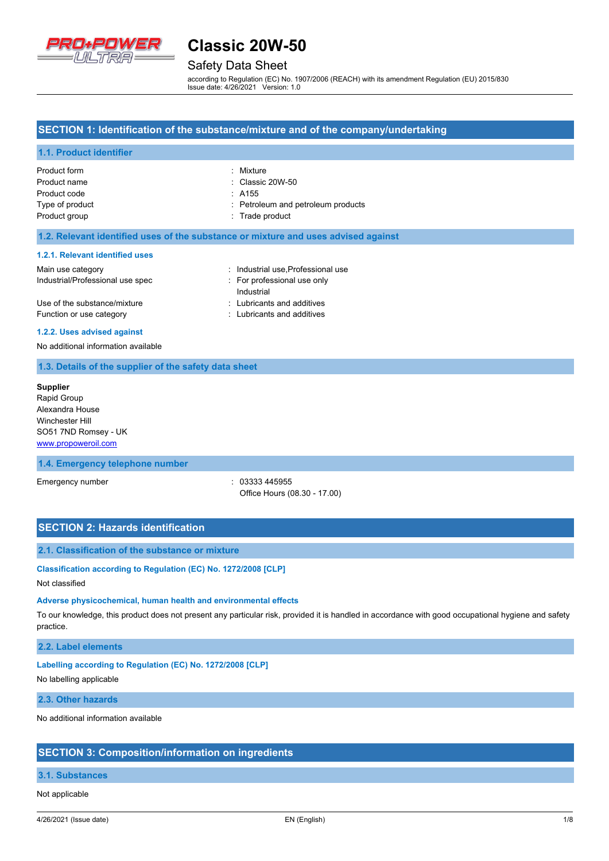

# Safety Data Sheet

according to Regulation (EC) No. 1907/2006 (REACH) with its amendment Regulation (EU) 2015/830 Issue date: 4/26/2021 Version: 1.0

### **SECTION 1: Identification of the substance/mixture and of the company/undertaking**

### **1.1. Product identifier**

| Product form    | : Mixture                          |
|-----------------|------------------------------------|
| Product name    | $\therefore$ Classic 20W-50        |
| Product code    | $\therefore$ A155                  |
| Type of product | : Petroleum and petroleum products |
| Product group   | : Trade product                    |

### **1.2. Relevant identified uses of the substance or mixture and uses advised against**

#### **1.2.1. Relevant identified uses**

| Main use category                | : Industrial use Professional use |
|----------------------------------|-----------------------------------|
| Industrial/Professional use spec | : For professional use only       |
|                                  | Industrial                        |
| Use of the substance/mixture     | : Lubricants and additives        |
| Function or use category         | : Lubricants and additives        |

#### **1.2.2. Uses advised against**

No additional information available

### **1.3. Details of the supplier of the safety data sheet**

**Supplier** Rapid Group Alexandra House Winchester Hill SO51 7ND Romsey - UK <www.propoweroil.com>

### **1.4. Emergency telephone number**

Emergency number : 03333 445955 Office Hours (08.30 - 17.00)

### **SECTION 2: Hazards identification**

### **2.1. Classification of the substance or mixture**

**Classification according to Regulation (EC) No. 1272/2008 [CLP]**

### Not classified

### **Adverse physicochemical, human health and environmental effects**

To our knowledge, this product does not present any particular risk, provided it is handled in accordance with good occupational hygiene and safety practice.

### **2.2. Label elements**

### **Labelling according to Regulation (EC) No. 1272/2008 [CLP]**

No labelling applicable

### **2.3. Other hazards**

No additional information available

### **SECTION 3: Composition/information on ingredients**

### **3.1. Substances**

Not applicable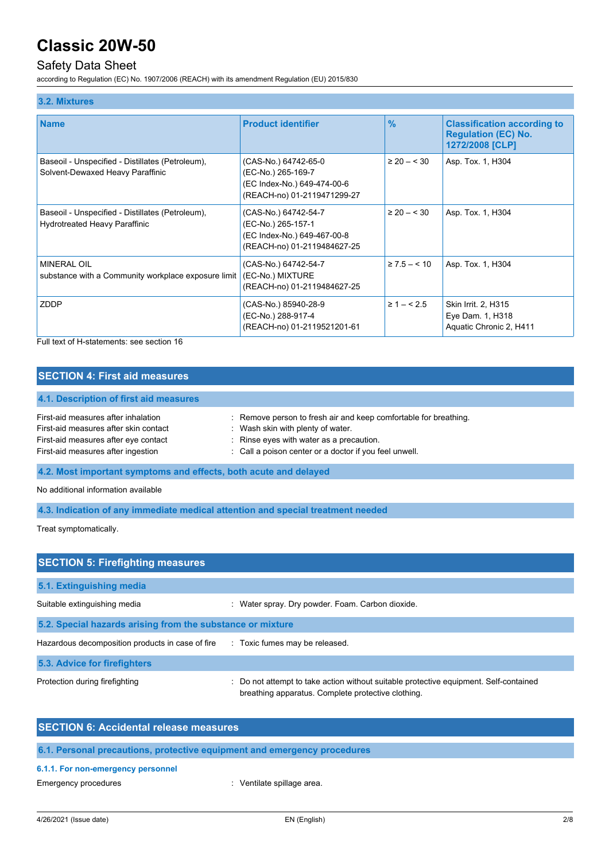# Safety Data Sheet

according to Regulation (EC) No. 1907/2006 (REACH) with its amendment Regulation (EU) 2015/830

| 3.2. Mixtures                                                                            |                                                                                                          |                 |                                                                                     |
|------------------------------------------------------------------------------------------|----------------------------------------------------------------------------------------------------------|-----------------|-------------------------------------------------------------------------------------|
| <b>Name</b>                                                                              | <b>Product identifier</b>                                                                                | %               | <b>Classification according to</b><br><b>Regulation (EC) No.</b><br>1272/2008 [CLP] |
| Baseoil - Unspecified - Distillates (Petroleum),<br>Solvent-Dewaxed Heavy Paraffinic     | (CAS-No.) 64742-65-0<br>(EC-No.) 265-169-7<br>(EC Index-No.) 649-474-00-6<br>(REACH-no) 01-2119471299-27 | $\geq 20 - 530$ | Asp. Tox. 1, H304                                                                   |
| Baseoil - Unspecified - Distillates (Petroleum),<br><b>Hydrotreated Heavy Paraffinic</b> | (CAS-No.) 64742-54-7<br>(EC-No.) 265-157-1<br>(EC Index-No.) 649-467-00-8<br>(REACH-no) 01-2119484627-25 | $\geq 20 - 530$ | Asp. Tox. 1, H304                                                                   |
| <b>MINERAL OIL</b><br>substance with a Community workplace exposure limit                | (CAS-No.) 64742-54-7<br>(EC-No.) MIXTURE<br>(REACH-no) 01-2119484627-25                                  | $\geq 7.5 - 10$ | Asp. Tox. 1, H304                                                                   |
| ZDDP                                                                                     | (CAS-No.) 85940-28-9<br>(EC-No.) 288-917-4<br>(REACH-no) 01-2119521201-61                                | $\geq 1 - 5.5$  | Skin Irrit. 2, H315<br>Eye Dam. 1, H318<br>Aquatic Chronic 2, H411                  |

Full text of H-statements: see section 16

## **SECTION 4: First aid measures**

# **4.1. Description of first aid measures**

| First-aid measures after inhalation   | : Remove person to fresh air and keep comfortable for breathing. |
|---------------------------------------|------------------------------------------------------------------|
| First-aid measures after skin contact | Wash skin with plenty of water.                                  |
| First-aid measures after eye contact  | $\therefore$ Rinse eyes with water as a precaution.              |
| First-aid measures after ingestion    | : Call a poison center or a doctor if you feel unwell.           |

**4.2. Most important symptoms and effects, both acute and delayed**

No additional information available

**4.3. Indication of any immediate medical attention and special treatment needed**

Treat symptomatically.

| <b>SECTION 5: Firefighting measures</b>                    |                                                                                                                                             |
|------------------------------------------------------------|---------------------------------------------------------------------------------------------------------------------------------------------|
| 5.1. Extinguishing media                                   |                                                                                                                                             |
| Suitable extinguishing media                               | : Water spray. Dry powder. Foam. Carbon dioxide.                                                                                            |
| 5.2. Special hazards arising from the substance or mixture |                                                                                                                                             |
| Hazardous decomposition products in case of fire           | : Toxic fumes may be released.                                                                                                              |
| 5.3. Advice for firefighters                               |                                                                                                                                             |
| Protection during firefighting                             | : Do not attempt to take action without suitable protective equipment. Self-contained<br>breathing apparatus. Complete protective clothing. |

| <b>SECTION 6: Accidental release measures</b>                            |                            |
|--------------------------------------------------------------------------|----------------------------|
| 6.1. Personal precautions, protective equipment and emergency procedures |                            |
| 6.1.1. For non-emergency personnel                                       |                            |
| Emergency procedures                                                     | : Ventilate spillage area. |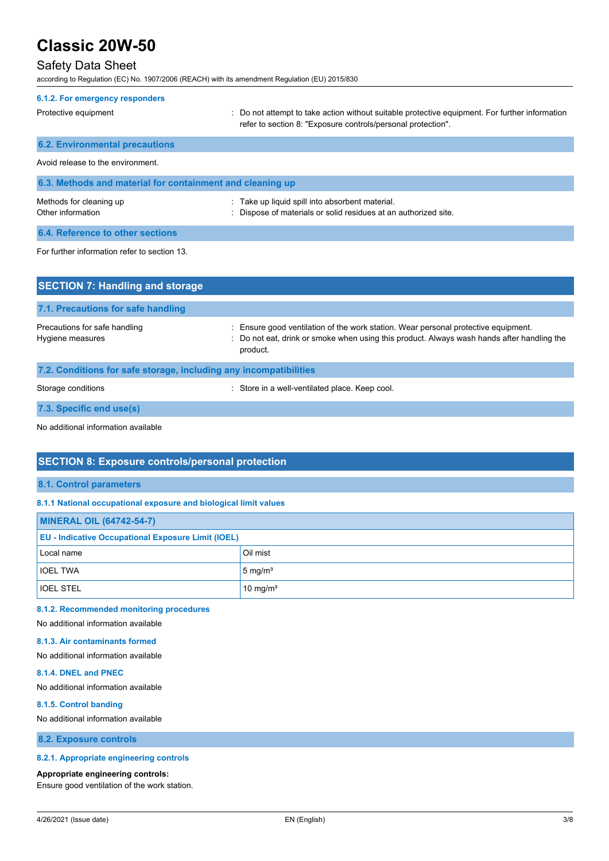# Safety Data Sheet

according to Regulation (EC) No. 1907/2006 (REACH) with its amendment Regulation (EU) 2015/830

| 6.1.2. For emergency responders                           |                                                                                                                                                                |
|-----------------------------------------------------------|----------------------------------------------------------------------------------------------------------------------------------------------------------------|
| Protective equipment                                      | : Do not attempt to take action without suitable protective equipment. For further information<br>refer to section 8: "Exposure controls/personal protection". |
| <b>6.2. Environmental precautions</b>                     |                                                                                                                                                                |
| Avoid release to the environment                          |                                                                                                                                                                |
| 6.3. Methods and material for containment and cleaning up |                                                                                                                                                                |
| Methods for cleaning up<br>Other information              | : Take up liquid spill into absorbent material.<br>Dispose of materials or solid residues at an authorized site.                                               |
| 6.4. Reference to other sections                          |                                                                                                                                                                |
| For further information refer to section 13.              |                                                                                                                                                                |
| <b>SECTION 7: Handling and storage</b>                    |                                                                                                                                                                |

| 7.1. Precautions for safe handling                                |                                                                                                                                                                                              |
|-------------------------------------------------------------------|----------------------------------------------------------------------------------------------------------------------------------------------------------------------------------------------|
| Precautions for safe handling<br>Hygiene measures                 | : Ensure good ventilation of the work station. Wear personal protective equipment.<br>: Do not eat, drink or smoke when using this product. Always wash hands after handling the<br>product. |
| 7.2. Conditions for safe storage, including any incompatibilities |                                                                                                                                                                                              |

Storage conditions **Storage conditions** : Store in a well-ventilated place. Keep cool.

**7.3. Specific end use(s)**

No additional information available

## **SECTION 8: Exposure controls/personal protection**

#### **8.1. Control parameters**

### **8.1.1 National occupational exposure and biological limit values**

| <b>MINERAL OIL (64742-54-7)</b>                           |                      |  |
|-----------------------------------------------------------|----------------------|--|
| <b>EU - Indicative Occupational Exposure Limit (IOEL)</b> |                      |  |
| Local name                                                | Oil mist             |  |
| <b>IOEL TWA</b>                                           | $5 \text{ mg/m}^3$   |  |
| <b>IOEL STEL</b>                                          | 10 mg/m <sup>3</sup> |  |

## **8.1.2. Recommended monitoring procedures**

# No additional information available

## **8.1.3. Air contaminants formed**

No additional information available

### **8.1.4. DNEL and PNEC**

No additional information available

### **8.1.5. Control banding**

No additional information available

**8.2. Exposure controls**

### **8.2.1. Appropriate engineering controls**

#### **Appropriate engineering controls:**

Ensure good ventilation of the work station.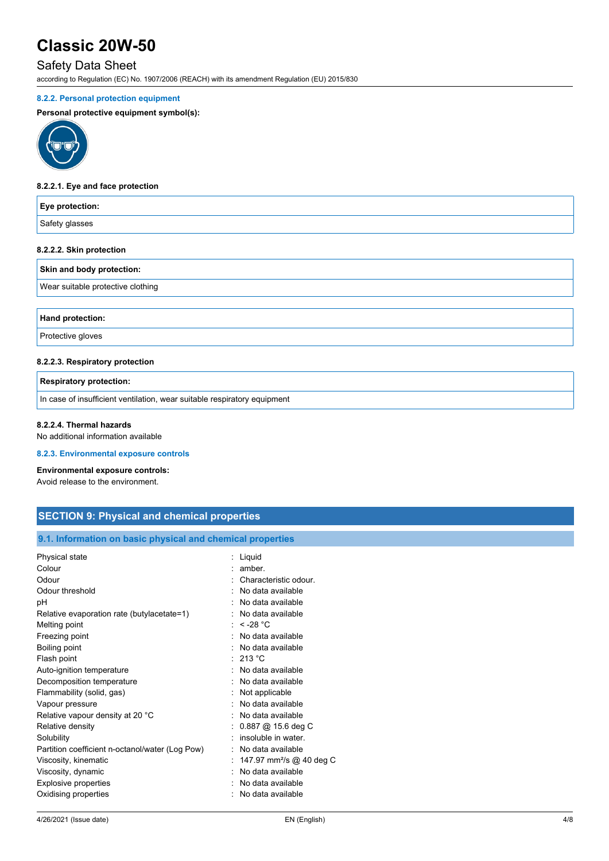# Safety Data Sheet

according to Regulation (EC) No. 1907/2006 (REACH) with its amendment Regulation (EU) 2015/830

### **8.2.2. Personal protection equipment**

### **Personal protective equipment symbol(s):**



### **8.2.2.1. Eye and face protection**

| Eye protection:           |  |
|---------------------------|--|
| Safety glasses            |  |
| 8.2.2.2. Skin protection  |  |
| Skin and body protection: |  |

Wear suitable protective clothing

**Hand protection:**

Protective gloves

### **8.2.2.3. Respiratory protection**

**Respiratory protection:**

In case of insufficient ventilation, wear suitable respiratory equipment

#### **8.2.2.4. Thermal hazards**

No additional information available

### **8.2.3. Environmental exposure controls**

#### **Environmental exposure controls:**

Avoid release to the environment.

# **SECTION 9: Physical and chemical properties**

### **9.1. Information on basic physical and chemical properties**

| Physical state                                  | : Liquid                             |
|-------------------------------------------------|--------------------------------------|
| Colour                                          | amber.                               |
| Odour                                           | Characteristic odour                 |
| Odour threshold                                 | No data available                    |
| рH                                              | No data available                    |
| Relative evaporation rate (butylacetate=1)      | No data available                    |
| Melting point                                   | $\le$ -28 °C                         |
| Freezing point                                  | : No data available                  |
| Boiling point                                   | No data available                    |
| Flash point                                     | : 213 °C                             |
| Auto-ignition temperature                       | : No data available                  |
| Decomposition temperature                       | No data available                    |
| Flammability (solid, gas)                       | Not applicable                       |
| Vapour pressure                                 | No data available                    |
| Relative vapour density at 20 °C                | No data available                    |
| Relative density                                | $0.887$ @ 15.6 deg C                 |
| Solubility                                      | insoluble in water.                  |
| Partition coefficient n-octanol/water (Log Pow) | No data available                    |
| Viscosity, kinematic                            | 147.97 mm <sup>2</sup> /s @ 40 deg C |
| Viscosity, dynamic                              | No data available                    |
| <b>Explosive properties</b>                     | No data available                    |
| Oxidising properties                            | : No data available                  |
|                                                 |                                      |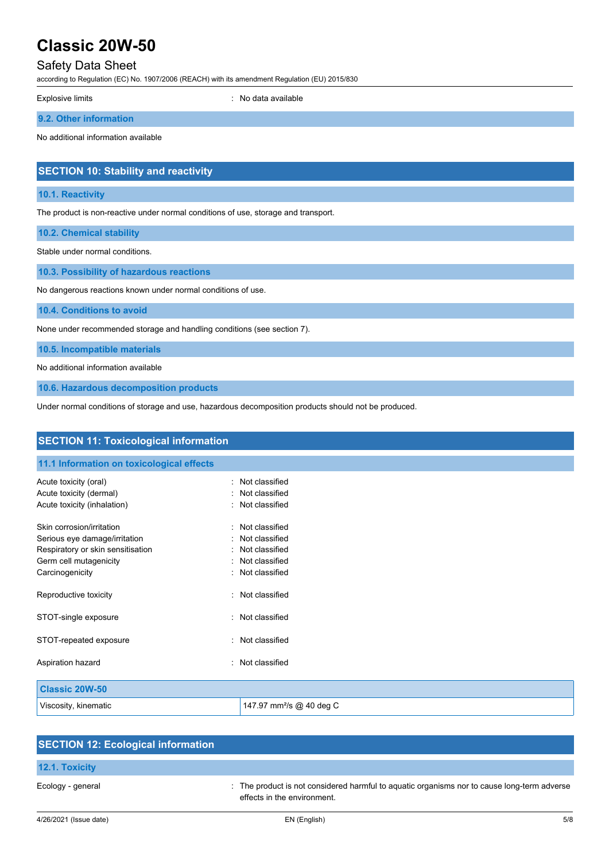# Safety Data Sheet

according to Regulation (EC) No. 1907/2006 (REACH) with its amendment Regulation (EU) 2015/830

Explosive limits **Explosive limits Explosive limits Explosive limits Explosive limits EXPLOSIVE 2018** 

**9.2. Other information**

No additional information available

# **SECTION 10: Stability and reactivity**

### **10.1. Reactivity**

The product is non-reactive under normal conditions of use, storage and transport.

**10.2. Chemical stability**

Stable under normal conditions.

**10.3. Possibility of hazardous reactions**

No dangerous reactions known under normal conditions of use.

**10.4. Conditions to avoid**

None under recommended storage and handling conditions (see section 7).

**10.5. Incompatible materials**

No additional information available

**10.6. Hazardous decomposition products**

Under normal conditions of storage and use, hazardous decomposition products should not be produced.

| <b>SECTION 11: Toxicological information</b>           |                                      |  |  |
|--------------------------------------------------------|--------------------------------------|--|--|
| 11.1 Information on toxicological effects              |                                      |  |  |
| Acute toxicity (oral)                                  | Not classified                       |  |  |
| Acute toxicity (dermal)<br>Acute toxicity (inhalation) | Not classified<br>Not classified     |  |  |
| Skin corrosion/irritation                              | Not classified<br>$\bullet$          |  |  |
| Serious eye damage/irritation                          | Not classified                       |  |  |
| Respiratory or skin sensitisation                      | Not classified<br>٠.                 |  |  |
| Germ cell mutagenicity                                 | : Not classified                     |  |  |
| Carcinogenicity                                        | : Not classified                     |  |  |
| Reproductive toxicity                                  | : Not classified                     |  |  |
| STOT-single exposure                                   | : Not classified                     |  |  |
| STOT-repeated exposure                                 | : Not classified                     |  |  |
| Aspiration hazard                                      | : Not classified                     |  |  |
| <b>Classic 20W-50</b>                                  |                                      |  |  |
| Viscosity, kinematic                                   | 147.97 mm <sup>2</sup> /s @ 40 deg C |  |  |

| <b>SECTION 12: Ecological information</b> |                                                                                                                            |
|-------------------------------------------|----------------------------------------------------------------------------------------------------------------------------|
| 12.1. Toxicity                            |                                                                                                                            |
| Ecology - general                         | . The product is not considered harmful to aguatic organisms nor to cause long-term adverse<br>effects in the environment. |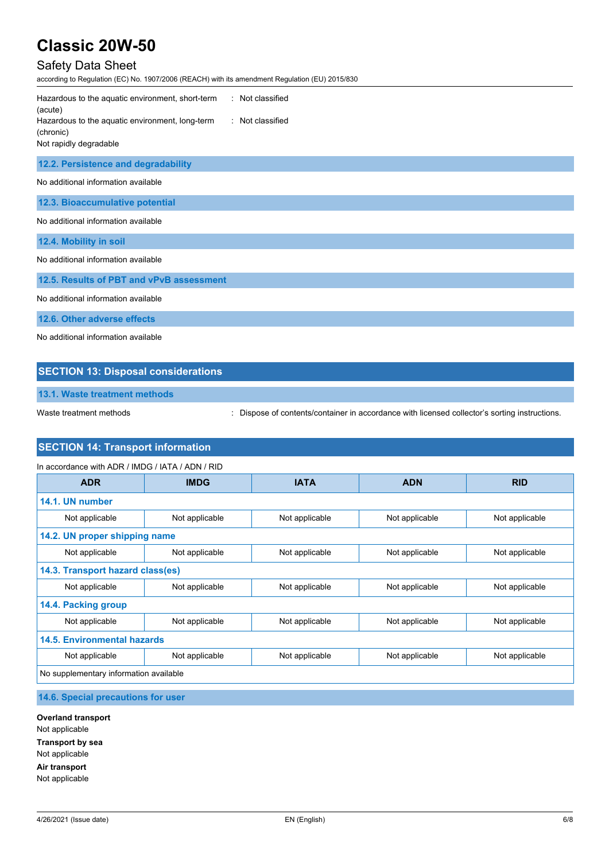# Safety Data Sheet

according to Regulation (EC) No. 1907/2006 (REACH) with its amendment Regulation (EU) 2015/830

| : Not classified<br>Hazardous to the aquatic environment, short-term<br>(acute)<br>Hazardous to the aquatic environment, long-term<br>Not classified<br>(chronic)<br>Not rapidly degradable |  |  |  |
|---------------------------------------------------------------------------------------------------------------------------------------------------------------------------------------------|--|--|--|
| 12.2. Persistence and degradability                                                                                                                                                         |  |  |  |
| No additional information available                                                                                                                                                         |  |  |  |
| 12.3. Bioaccumulative potential                                                                                                                                                             |  |  |  |
| No additional information available                                                                                                                                                         |  |  |  |
| 12.4. Mobility in soil                                                                                                                                                                      |  |  |  |
| No additional information available                                                                                                                                                         |  |  |  |
| 12.5. Results of PBT and vPvB assessment                                                                                                                                                    |  |  |  |
| No additional information available                                                                                                                                                         |  |  |  |
| 12.6. Other adverse effects                                                                                                                                                                 |  |  |  |
| No additional information available                                                                                                                                                         |  |  |  |

## **SECTION 13: Disposal considerations**

**13.1. Waste treatment methods**

Waste treatment methods : Dispose of contents/container in accordance with licensed collector's sorting instructions.

# **SECTION 14: Transport information**

| In accordance with ADR / IMDG / IATA / ADN / RID |                |                |                |                |
|--------------------------------------------------|----------------|----------------|----------------|----------------|
| <b>ADR</b>                                       | <b>IMDG</b>    | <b>IATA</b>    | <b>ADN</b>     | <b>RID</b>     |
| 14.1. UN number                                  |                |                |                |                |
| Not applicable                                   | Not applicable | Not applicable | Not applicable | Not applicable |
| 14.2. UN proper shipping name                    |                |                |                |                |
| Not applicable                                   | Not applicable | Not applicable | Not applicable | Not applicable |
| 14.3. Transport hazard class(es)                 |                |                |                |                |
| Not applicable                                   | Not applicable | Not applicable | Not applicable | Not applicable |
| 14.4. Packing group                              |                |                |                |                |
| Not applicable                                   | Not applicable | Not applicable | Not applicable | Not applicable |
| <b>14.5. Environmental hazards</b>               |                |                |                |                |
| Not applicable                                   | Not applicable | Not applicable | Not applicable | Not applicable |
| No supplementary information available           |                |                |                |                |

# **14.6. Special precautions for user**

**Overland transport** Not applicable **Transport by sea** Not applicable **Air transport** Not applicable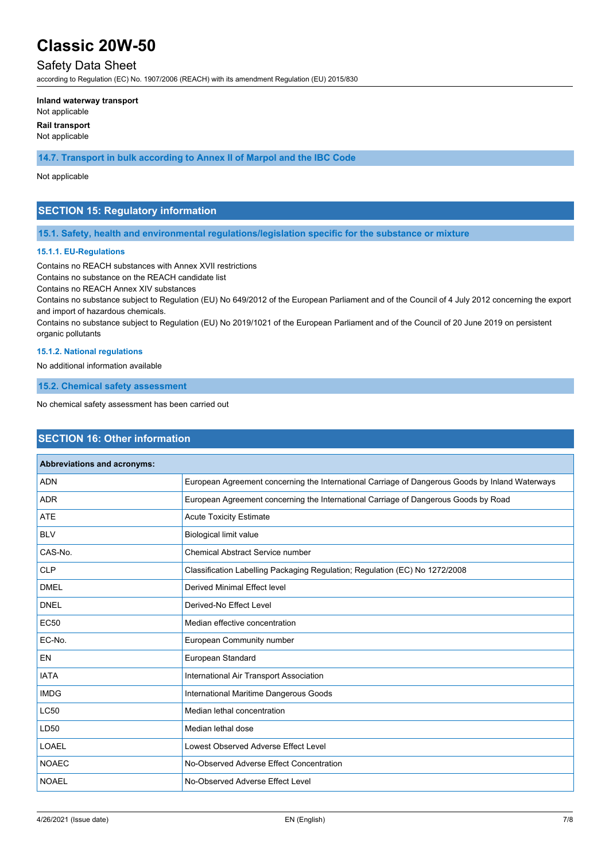# Safety Data Sheet

according to Regulation (EC) No. 1907/2006 (REACH) with its amendment Regulation (EU) 2015/830

#### **Inland waterway transport**

Not applicable

**Rail transport**

Not applicable

**14.7. Transport in bulk according to Annex II of Marpol and the IBC Code**

### Not applicable

## **SECTION 15: Regulatory information**

### **15.1. Safety, health and environmental regulations/legislation specific for the substance or mixture**

### **15.1.1. EU-Regulations**

Contains no REACH substances with Annex XVII restrictions

Contains no substance on the REACH candidate list

Contains no REACH Annex XIV substances

Contains no substance subject to Regulation (EU) No 649/2012 of the European Parliament and of the Council of 4 July 2012 concerning the export and import of hazardous chemicals.

Contains no substance subject to Regulation (EU) No 2019/1021 of the European Parliament and of the Council of 20 June 2019 on persistent organic pollutants

### **15.1.2. National regulations**

No additional information available

**15.2. Chemical safety assessment**

No chemical safety assessment has been carried out

## **SECTION 16: Other information**

| Abbreviations and acronyms: |                                                                                                 |
|-----------------------------|-------------------------------------------------------------------------------------------------|
| <b>ADN</b>                  | European Agreement concerning the International Carriage of Dangerous Goods by Inland Waterways |
| <b>ADR</b>                  | European Agreement concerning the International Carriage of Dangerous Goods by Road             |
| <b>ATE</b>                  | <b>Acute Toxicity Estimate</b>                                                                  |
| <b>BLV</b>                  | <b>Biological limit value</b>                                                                   |
| CAS-No.                     | <b>Chemical Abstract Service number</b>                                                         |
| <b>CLP</b>                  | Classification Labelling Packaging Regulation; Regulation (EC) No 1272/2008                     |
| <b>DMEL</b>                 | Derived Minimal Effect level                                                                    |
| <b>DNEL</b>                 | Derived-No Effect Level                                                                         |
| <b>EC50</b>                 | Median effective concentration                                                                  |
| EC-No.                      | European Community number                                                                       |
| <b>EN</b>                   | European Standard                                                                               |
| <b>IATA</b>                 | International Air Transport Association                                                         |
| <b>IMDG</b>                 | International Maritime Dangerous Goods                                                          |
| <b>LC50</b>                 | Median lethal concentration                                                                     |
| LD50                        | Median lethal dose                                                                              |
| <b>LOAEL</b>                | Lowest Observed Adverse Effect Level                                                            |
| <b>NOAEC</b>                | No-Observed Adverse Effect Concentration                                                        |
| <b>NOAEL</b>                | No-Observed Adverse Effect Level                                                                |